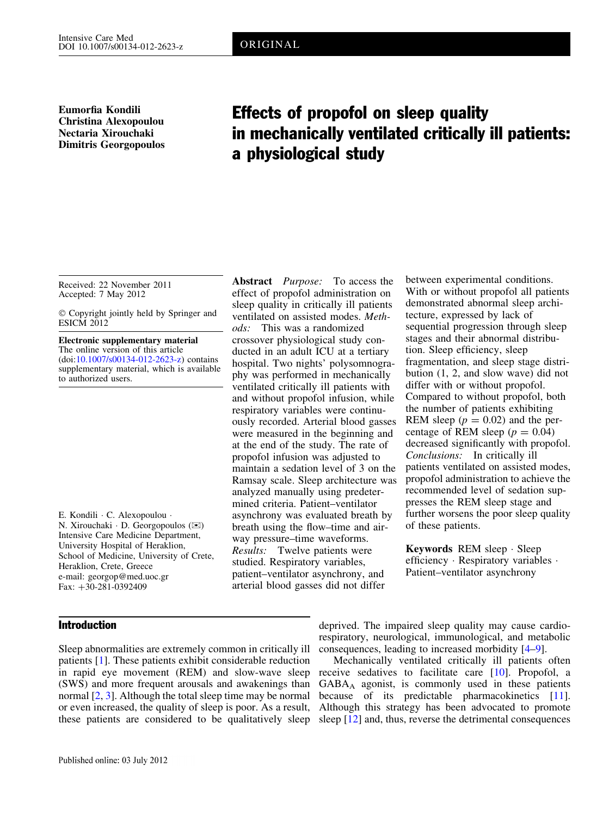Eumorfia Kondili Christina Alexopoulou Nectaria Xirouchaki Dimitris Georgopoulos

# Effects of propofol on sleep quality in mechanically ventilated critically ill patients: a physiological study

Received: 22 November 2011 Accepted: 7 May 2012

- Copyright jointly held by Springer and **ESICM 2012** 

Electronic supplementary material The online version of this article (doi:[10.1007/s00134-012-2623-z\)](http://dx.doi.org/10.1007/s00134-012-2623-z) contains supplementary material, which is available to authorized users.

E. Kondili - C. Alexopoulou -  $N$ . Xirouchaki  $\cdot$  D. Georgopoulos ( $\otimes$ ) Intensive Care Medicine Department, University Hospital of Heraklion, School of Medicine, University of Crete, Heraklion, Crete, Greece e-mail: georgop@med.uoc.gr Fax:  $+30-281-0392409$ 

## Introduction

sleep quality in critically ill patients ventilated on assisted modes. Methods: This was a randomized crossover physiological study conducted in an adult ICU at a tertiary hospital. Two nights' polysomnography was performed in mechanically ventilated critically ill patients with and without propofol infusion, while respiratory variables were continuously recorded. Arterial blood gasses were measured in the beginning and at the end of the study. The rate of propofol infusion was adjusted to maintain a sedation level of 3 on the Ramsay scale. Sleep architecture was analyzed manually using predetermined criteria. Patient–ventilator asynchrony was evaluated breath by breath using the flow–time and airway pressure–time waveforms. Results: Twelve patients were studied. Respiratory variables, patient–ventilator asynchrony, and arterial blood gasses did not differ

Abstract *Purpose*: To access the effect of propofol administration on

between experimental conditions. With or without propofol all patients demonstrated abnormal sleep architecture, expressed by lack of sequential progression through sleep stages and their abnormal distribution. Sleep efficiency, sleep fragmentation, and sleep stage distribution (1, 2, and slow wave) did not differ with or without propofol. Compared to without propofol, both the number of patients exhibiting REM sleep  $(p = 0.02)$  and the percentage of REM sleep  $(p = 0.04)$ decreased significantly with propofol. Conclusions: In critically ill patients ventilated on assisted modes, propofol administration to achieve the recommended level of sedation suppresses the REM sleep stage and further worsens the poor sleep quality of these patients.

Keywords REM sleep - Sleep efficiency · Respiratory variables · Patient–ventilator asynchrony

Sleep abnormalities are extremely common in critically ill patients [[1\]](#page-5-0). These patients exhibit considerable reduction in rapid eye movement (REM) and slow-wave sleep (SWS) and more frequent arousals and awakenings than normal [\[2](#page-5-0), [3](#page-5-0)]. Although the total sleep time may be normal or even increased, the quality of sleep is poor. As a result, Although this strategy has been advocated to promote

deprived. The impaired sleep quality may cause cardiorespiratory, neurological, immunological, and metabolic consequences, leading to increased morbidity [\[4–9](#page-5-0)].

these patients are considered to be qualitatively sleep sleep [[12](#page-5-0)] and, thus, reverse the detrimental consequences Mechanically ventilated critically ill patients often receive sedatives to facilitate care [\[10\]](#page-5-0). Propofol, a  $GABA_A$  agonist, is commonly used in these patients because of its predictable pharmacokinetics [\[11\]](#page-5-0).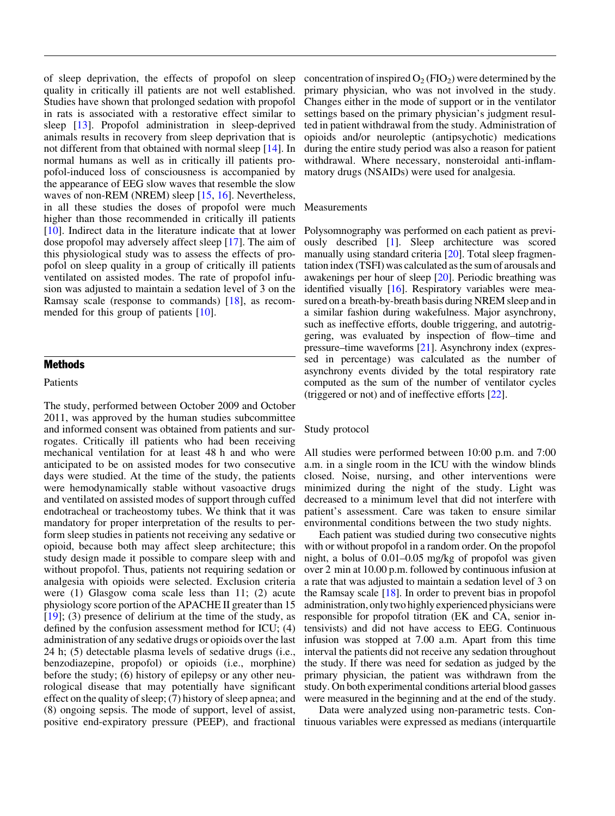of sleep deprivation, the effects of propofol on sleep quality in critically ill patients are not well established. Studies have shown that prolonged sedation with propofol in rats is associated with a restorative effect similar to sleep [[13](#page-5-0)]. Propofol administration in sleep-deprived animals results in recovery from sleep deprivation that is not different from that obtained with normal sleep [\[14\]](#page-5-0). In normal humans as well as in critically ill patients propofol-induced loss of consciousness is accompanied by the appearance of EEG slow waves that resemble the slow waves of non-REM (NREM) sleep [[15](#page-5-0), [16\]](#page-5-0). Nevertheless, in all these studies the doses of propofol were much higher than those recommended in critically ill patients [\[10](#page-5-0)]. Indirect data in the literature indicate that at lower dose propofol may adversely affect sleep [[17](#page-5-0)]. The aim of this physiological study was to assess the effects of propofol on sleep quality in a group of critically ill patients ventilated on assisted modes. The rate of propofol infusion was adjusted to maintain a sedation level of 3 on the Ramsay scale (response to commands) [[18](#page-5-0)], as recommended for this group of patients [\[10\]](#page-5-0).

## **Methods**

#### Patients

The study, performed between October 2009 and October 2011, was approved by the human studies subcommittee and informed consent was obtained from patients and surrogates. Critically ill patients who had been receiving mechanical ventilation for at least 48 h and who were anticipated to be on assisted modes for two consecutive days were studied. At the time of the study, the patients were hemodynamically stable without vasoactive drugs and ventilated on assisted modes of support through cuffed endotracheal or tracheostomy tubes. We think that it was mandatory for proper interpretation of the results to perform sleep studies in patients not receiving any sedative or opioid, because both may affect sleep architecture; this study design made it possible to compare sleep with and without propofol. Thus, patients not requiring sedation or analgesia with opioids were selected. Exclusion criteria were (1) Glasgow coma scale less than 11; (2) acute physiology score portion of the APACHE II greater than 15 [\[19](#page-5-0)]; (3) presence of delirium at the time of the study, as defined by the confusion assessment method for ICU; (4) administration of any sedative drugs or opioids over the last 24 h; (5) detectable plasma levels of sedative drugs (i.e., benzodiazepine, propofol) or opioids (i.e., morphine) before the study; (6) history of epilepsy or any other neurological disease that may potentially have significant effect on the quality of sleep; (7) history of sleep apnea; and (8) ongoing sepsis. The mode of support, level of assist, positive end-expiratory pressure (PEEP), and fractional

concentration of inspired  $O<sub>2</sub>$  (FIO<sub>2</sub>) were determined by the primary physician, who was not involved in the study. Changes either in the mode of support or in the ventilator settings based on the primary physician's judgment resulted in patient withdrawal from the study. Administration of opioids and/or neuroleptic (antipsychotic) medications during the entire study period was also a reason for patient withdrawal. Where necessary, nonsteroidal anti-inflammatory drugs (NSAIDs) were used for analgesia.

#### Measurements

Polysomnography was performed on each patient as previously described [[1\]](#page-5-0). Sleep architecture was scored manually using standard criteria [[20](#page-5-0)]. Total sleep fragmentation index (TSFI) was calculated as the sum of arousals and awakenings per hour of sleep [\[20](#page-5-0)]. Periodic breathing was identified visually [[16\]](#page-5-0). Respiratory variables were measured on a breath-by-breath basis during NREM sleep and in a similar fashion during wakefulness. Major asynchrony, such as ineffective efforts, double triggering, and autotriggering, was evaluated by inspection of flow–time and pressure–time waveforms [\[21](#page-5-0)]. Asynchrony index (expressed in percentage) was calculated as the number of asynchrony events divided by the total respiratory rate computed as the sum of the number of ventilator cycles (triggered or not) and of ineffective efforts [\[22\]](#page-5-0).

#### Study protocol

All studies were performed between 10:00 p.m. and 7:00 a.m. in a single room in the ICU with the window blinds closed. Noise, nursing, and other interventions were minimized during the night of the study. Light was decreased to a minimum level that did not interfere with patient's assessment. Care was taken to ensure similar environmental conditions between the two study nights.

Each patient was studied during two consecutive nights with or without propofol in a random order. On the propofol night, a bolus of 0.01–0.05 mg/kg of propofol was given over 2 min at 10.00 p.m. followed by continuous infusion at a rate that was adjusted to maintain a sedation level of 3 on the Ramsay scale [\[18](#page-5-0)]. In order to prevent bias in propofol administration, only two highly experienced physicians were responsible for propofol titration (EK and CA, senior intensivists) and did not have access to EEG. Continuous infusion was stopped at 7.00 a.m. Apart from this time interval the patients did not receive any sedation throughout the study. If there was need for sedation as judged by the primary physician, the patient was withdrawn from the study. On both experimental conditions arterial blood gasses were measured in the beginning and at the end of the study.

Data were analyzed using non-parametric tests. Continuous variables were expressed as medians (interquartile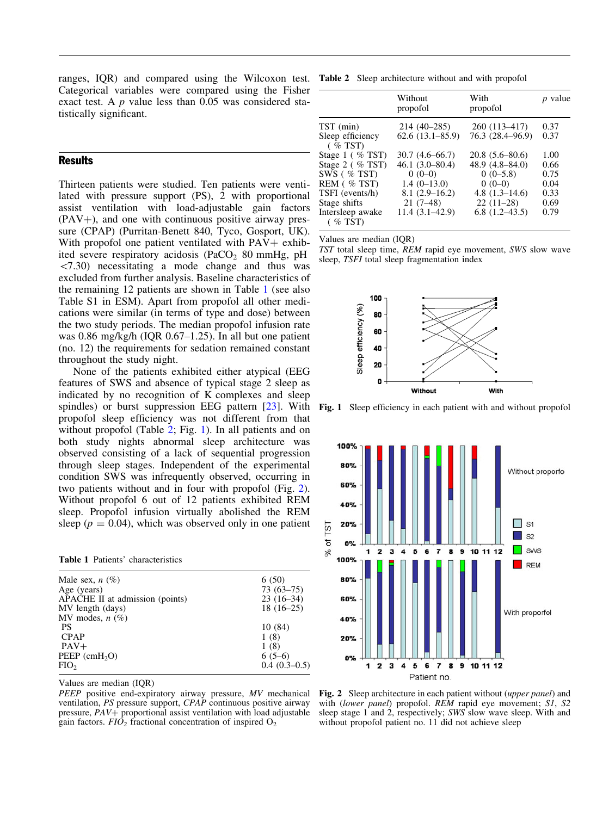<span id="page-2-0"></span>ranges, IQR) and compared using the Wilcoxon test. Table 2 Sleep architecture without and with propofol Categorical variables were compared using the Fisher exact test. A p value less than 0.05 was considered statistically significant.

## **Results**

Thirteen patients were studied. Ten patients were ventilated with pressure support (PS), 2 with proportional assist ventilation with load-adjustable gain factors  $(PAV+)$ , and one with continuous positive airway pressure (CPAP) (Purritan-Benett 840, Tyco, Gosport, UK). With propofol one patient ventilated with  $PAV+$  exhibited severe respiratory acidosis (PaCO $_2$  80 mmHg, pH  $\langle 7.30 \rangle$  necessitating a mode change and thus was excluded from further analysis. Baseline characteristics of the remaining 12 patients are shown in Table 1 (see also Table S1 in ESM). Apart from propofol all other medications were similar (in terms of type and dose) between the two study periods. The median propofol infusion rate was 0.86 mg/kg/h (IQR 0.67–1.25). In all but one patient (no. 12) the requirements for sedation remained constant throughout the study night.

None of the patients exhibited either atypical (EEG features of SWS and absence of typical stage 2 sleep as indicated by no recognition of K complexes and sleep spindles) or burst suppression EEG pattern [[23](#page-5-0)]. With propofol sleep efficiency was not different from that without propofol (Table 2; Fig. 1). In all patients and on both study nights abnormal sleep architecture was observed consisting of a lack of sequential progression through sleep stages. Independent of the experimental condition SWS was infrequently observed, occurring in two patients without and in four with propofol (Fig. 2). Without propofol 6 out of 12 patients exhibited REM sleep. Propofol infusion virtually abolished the REM sleep ( $p = 0.04$ ), which was observed only in one patient

|  | <b>Table 1 Patients' characteristics</b> |
|--|------------------------------------------|
|  |                                          |

| Male sex, $n(\%)$<br>Age (years) | 6(50)<br>$73(63 - 75)$ |
|----------------------------------|------------------------|
| APACHE II at admission (points)  | $23(16-34)$            |
| MV length (days)                 | $18(16-25)$            |
| MV modes, $n$ (%)                |                        |
| <b>PS</b>                        | 10(84)                 |
| <b>CPAP</b>                      | 1(8)                   |
| $PAV+$                           | 1(8)                   |
| $PEEP$ (cmH <sub>2</sub> O)      | $6(5-6)$               |
| FIO <sub>2</sub>                 | $0.4(0.3-0.5)$         |

Values are median (IQR)

PEEP positive end-expiratory airway pressure, MV mechanical ventilation, PS pressure support, CPAP continuous positive airway pressure,  $PAV+$  proportional assist ventilation with load adjustable gain factors.  $FIO<sub>2</sub>$  fractional concentration of inspired  $O<sub>2</sub>$ 

|                                | Without<br>propofol | With<br>propofol   | <i>p</i> value |
|--------------------------------|---------------------|--------------------|----------------|
| TST (min)                      | $214(40-285)$       | 260 (113–417)      | 0.37           |
| Sleep efficiency<br>$($ % TST) | $62.6(13.1 - 85.9)$ | 76.3 (28.4–96.9)   | 0.37           |
| Stage $1$ (% TST)              | $30.7(4.6-66.7)$    | $20.8(5.6 - 80.6)$ | 1.00           |
| Stage 2 $($ % TST)             | $46.1(3.0-80.4)$    | $48.9(4.8 - 84.0)$ | 0.66           |
| SWS $( % TST)$                 | $0(0-0)$            | $0(0-5.8)$         | 0.75           |
| REM (%TST)                     | $1.4(0-13.0)$       | $0(0-0)$           | 0.04           |
| TSFI (events/h)                | $8.1(2.9-16.2)$     | 4.8 $(1.3-14.6)$   | 0.33           |
| Stage shifts                   | $21(7-48)$          | $22(11-28)$        | 0.69           |
| Intersleep awake<br>$($ % TST) | 11.4 (3.1–42.9)     | $6.8(1.2-43.5)$    | 0.79           |

Values are median (IQR)

TST total sleep time, REM rapid eye movement, SWS slow wave sleep, TSFI total sleep fragmentation index



Fig. 1 Sleep efficiency in each patient with and without propofol



Fig. 2 Sleep architecture in each patient without (upper panel) and with (lower panel) propofol. REM rapid eye movement; S1, S2 sleep stage 1 and 2, respectively; SWS slow wave sleep. With and without propofol patient no. 11 did not achieve sleep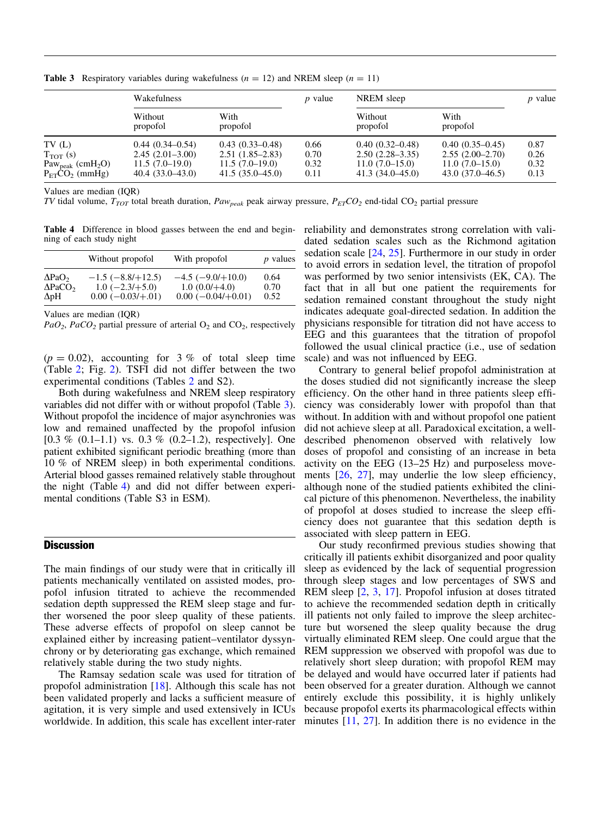|                                                                                          | Wakefulness                                                                       |                                                                                   | $p$ value                    | NREM sleep                                                                        |                                                                                 | <i>p</i> value               |
|------------------------------------------------------------------------------------------|-----------------------------------------------------------------------------------|-----------------------------------------------------------------------------------|------------------------------|-----------------------------------------------------------------------------------|---------------------------------------------------------------------------------|------------------------------|
|                                                                                          | Without<br>propofol                                                               | With<br>propofol                                                                  |                              | Without<br>propofol                                                               | With<br>propofol                                                                |                              |
| TV(L)<br>$T_{TOT}(s)$<br>Paw <sub>peak</sub> (cmH <sub>2</sub> O)<br>$P_{ET}CO_2$ (mmHg) | $0.44(0.34 - 0.54)$<br>$2.45(2.01-3.00)$<br>$11.5(7.0-19.0)$<br>$40.4(33.0-43.0)$ | $0.43(0.33 - 0.48)$<br>$2.51(1.85-2.83)$<br>$11.5(7.0-19.0)$<br>$41.5(35.0-45.0)$ | 0.66<br>0.70<br>0.32<br>0.11 | $0.40(0.32 - 0.48)$<br>$2.50(2.28-3.35)$<br>$11.0(7.0-15.0)$<br>$41.3(34.0-45.0)$ | $0.40(0.35-0.45)$<br>$2.55(2.00-2.70)$<br>$11.0(7.0-15.0)$<br>$43.0(37.0-46.5)$ | 0.87<br>0.26<br>0.32<br>0.13 |

**Table 3** Respiratory variables during wakefulness  $(n = 12)$  and NREM sleep  $(n = 11)$ 

Values are median (IQR)

TV tidal volume,  $T_{TOT}$  total breath duration,  $Paw_{peak}$  peak airway pressure,  $P_{ET}CO_2$  end-tidal CO<sub>2</sub> partial pressure

Table 4 Difference in blood gasses between the end and beginning of each study night

|                               | Without propofol        | With propofol           | <i>p</i> values |
|-------------------------------|-------------------------|-------------------------|-----------------|
| $\Delta$ PaO <sub>2</sub>     | $-1.5$ ( $-8.8/+12.5$ ) | $-4.5$ ( $-9.0/+10.0$ ) | 0.64            |
| $\triangle$ PaCO <sub>2</sub> | $1.0$ ( $-2.3/+5.0$ )   | $1.0(0.0/+4.0)$         | 0.70            |
| $\Delta$ pH                   | $0.00(-0.03/+.01)$      | $0.00(-0.04/+0.01)$     | 0.52            |

Values are median (IQR)

 $PaO<sub>2</sub>$ ,  $PaCO<sub>2</sub>$  partial pressure of arterial  $O<sub>2</sub>$  and  $CO<sub>2</sub>$ , respectively

 $(p = 0.02)$ , accounting for 3 % of total sleep time (Table [2;](#page-2-0) Fig. [2\)](#page-2-0). TSFI did not differ between the two experimental conditions (Tables [2](#page-2-0) and S2).

Both during wakefulness and NREM sleep respiratory variables did not differ with or without propofol (Table 3). Without propofol the incidence of major asynchronies was low and remained unaffected by the propofol infusion  $[0.3 \% (0.1-1.1)$  vs.  $0.3 \% (0.2-1.2)$ , respectively]. One patient exhibited significant periodic breathing (more than 10 % of NREM sleep) in both experimental conditions. Arterial blood gasses remained relatively stable throughout the night (Table 4) and did not differ between experimental conditions (Table S3 in ESM).

## **Discussion**

The main findings of our study were that in critically ill patients mechanically ventilated on assisted modes, propofol infusion titrated to achieve the recommended sedation depth suppressed the REM sleep stage and further worsened the poor sleep quality of these patients. These adverse effects of propofol on sleep cannot be explained either by increasing patient–ventilator dyssynchrony or by deteriorating gas exchange, which remained relatively stable during the two study nights.

The Ramsay sedation scale was used for titration of propofol administration [[18\]](#page-5-0). Although this scale has not been validated properly and lacks a sufficient measure of agitation, it is very simple and used extensively in ICUs worldwide. In addition, this scale has excellent inter-rater reliability and demonstrates strong correlation with validated sedation scales such as the Richmond agitation sedation scale [\[24,](#page-5-0) [25\]](#page-5-0). Furthermore in our study in order to avoid errors in sedation level, the titration of propofol was performed by two senior intensivists (EK, CA). The fact that in all but one patient the requirements for sedation remained constant throughout the study night indicates adequate goal-directed sedation. In addition the physicians responsible for titration did not have access to EEG and this guarantees that the titration of propofol followed the usual clinical practice (i.e., use of sedation scale) and was not influenced by EEG.

Contrary to general belief propofol administration at the doses studied did not significantly increase the sleep efficiency. On the other hand in three patients sleep efficiency was considerably lower with propofol than that without. In addition with and without propofol one patient did not achieve sleep at all. Paradoxical excitation, a welldescribed phenomenon observed with relatively low doses of propofol and consisting of an increase in beta activity on the EEG (13–25 Hz) and purposeless movements [\[26,](#page-5-0) [27\]](#page-5-0), may underlie the low sleep efficiency, although none of the studied patients exhibited the clinical picture of this phenomenon. Nevertheless, the inability of propofol at doses studied to increase the sleep efficiency does not guarantee that this sedation depth is associated with sleep pattern in EEG.

Our study reconfirmed previous studies showing that critically ill patients exhibit disorganized and poor quality sleep as evidenced by the lack of sequential progression through sleep stages and low percentages of SWS and REM sleep [[2,](#page-5-0) [3](#page-5-0), [17](#page-5-0)]. Propofol infusion at doses titrated to achieve the recommended sedation depth in critically ill patients not only failed to improve the sleep architecture but worsened the sleep quality because the drug virtually eliminated REM sleep. One could argue that the REM suppression we observed with propofol was due to relatively short sleep duration; with propofol REM may be delayed and would have occurred later if patients had been observed for a greater duration. Although we cannot entirely exclude this possibility, it is highly unlikely because propofol exerts its pharmacological effects within minutes [\[11,](#page-5-0) [27](#page-5-0)]. In addition there is no evidence in the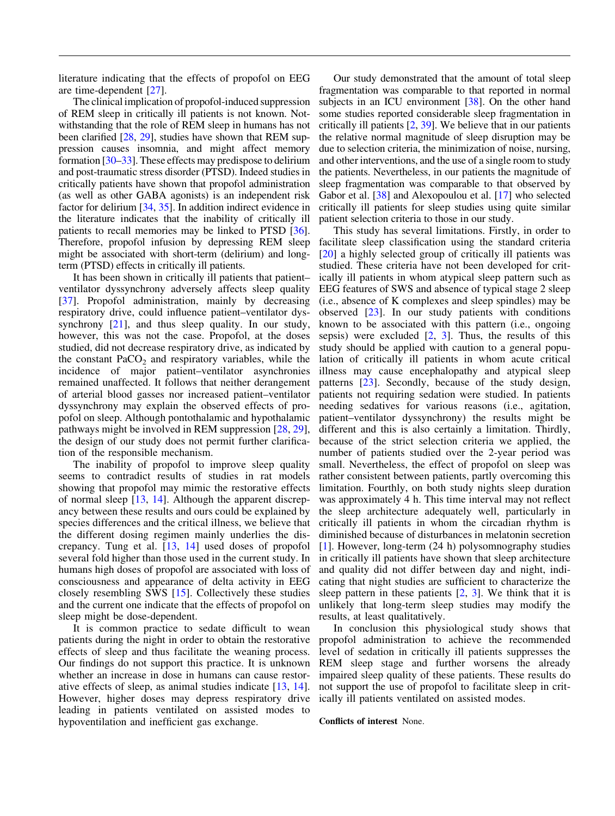literature indicating that the effects of propofol on EEG are time-dependent [\[27\]](#page-5-0).

The clinical implication of propofol-induced suppression of REM sleep in critically ill patients is not known. Notwithstanding that the role of REM sleep in humans has not been clarified [\[28,](#page-5-0) [29\]](#page-5-0), studies have shown that REM suppression causes insomnia, and might affect memory formation [\[30–33\]](#page-5-0). These effects may predispose to delirium and post-traumatic stress disorder (PTSD). Indeed studies in critically patients have shown that propofol administration (as well as other GABA agonists) is an independent risk factor for delirium [\[34,](#page-5-0) [35\]](#page-5-0). In addition indirect evidence in the literature indicates that the inability of critically ill patients to recall memories may be linked to PTSD [\[36](#page-6-0)]. Therefore, propofol infusion by depressing REM sleep might be associated with short-term (delirium) and longterm (PTSD) effects in critically ill patients.

It has been shown in critically ill patients that patient– ventilator dyssynchrony adversely affects sleep quality [\[37\]](#page-6-0). Propofol administration, mainly by decreasing respiratory drive, could influence patient–ventilator dys-synchrony [[21\]](#page-5-0), and thus sleep quality. In our study, however, this was not the case. Propofol, at the doses studied, did not decrease respiratory drive, as indicated by the constant  $PaCO<sub>2</sub>$  and respiratory variables, while the incidence of major patient–ventilator asynchronies remained unaffected. It follows that neither derangement of arterial blood gasses nor increased patient–ventilator dyssynchrony may explain the observed effects of propofol on sleep. Although pontothalamic and hypothalamic pathways might be involved in REM suppression [\[28,](#page-5-0) [29](#page-5-0)], the design of our study does not permit further clarification of the responsible mechanism.

The inability of propofol to improve sleep quality seems to contradict results of studies in rat models showing that propofol may mimic the restorative effects of normal sleep [[13](#page-5-0), [14\]](#page-5-0). Although the apparent discrepancy between these results and ours could be explained by species differences and the critical illness, we believe that the different dosing regimen mainly underlies the discrepancy. Tung et al. [[13](#page-5-0), [14\]](#page-5-0) used doses of propofol several fold higher than those used in the current study. In humans high doses of propofol are associated with loss of consciousness and appearance of delta activity in EEG closely resembling SWS [[15](#page-5-0)]. Collectively these studies and the current one indicate that the effects of propofol on sleep might be dose-dependent.

It is common practice to sedate difficult to wean patients during the night in order to obtain the restorative effects of sleep and thus facilitate the weaning process. Our findings do not support this practice. It is unknown whether an increase in dose in humans can cause restorative effects of sleep, as animal studies indicate [[13](#page-5-0), [14](#page-5-0)]. However, higher doses may depress respiratory drive leading in patients ventilated on assisted modes to hypoventilation and inefficient gas exchange.

Our study demonstrated that the amount of total sleep fragmentation was comparable to that reported in normal subjects in an ICU environment [[38\]](#page-6-0). On the other hand some studies reported considerable sleep fragmentation in critically ill patients [\[2](#page-5-0), [39\]](#page-6-0). We believe that in our patients the relative normal magnitude of sleep disruption may be due to selection criteria, the minimization of noise, nursing, and other interventions, and the use of a single room to study the patients. Nevertheless, in our patients the magnitude of sleep fragmentation was comparable to that observed by Gabor et al. [\[38\]](#page-6-0) and Alexopoulou et al. [\[17\]](#page-5-0) who selected critically ill patients for sleep studies using quite similar patient selection criteria to those in our study.

This study has several limitations. Firstly, in order to facilitate sleep classification using the standard criteria [\[20\]](#page-5-0) a highly selected group of critically ill patients was studied. These criteria have not been developed for critically ill patients in whom atypical sleep pattern such as EEG features of SWS and absence of typical stage 2 sleep (i.e., absence of K complexes and sleep spindles) may be observed [[23](#page-5-0)]. In our study patients with conditions known to be associated with this pattern (i.e., ongoing sepsis) were excluded  $[2, 3]$  $[2, 3]$  $[2, 3]$  $[2, 3]$  $[2, 3]$ . Thus, the results of this study should be applied with caution to a general population of critically ill patients in whom acute critical illness may cause encephalopathy and atypical sleep patterns [[23](#page-5-0)]. Secondly, because of the study design, patients not requiring sedation were studied. In patients needing sedatives for various reasons (i.e., agitation, patient–ventilator dyssynchrony) the results might be different and this is also certainly a limitation. Thirdly, because of the strict selection criteria we applied, the number of patients studied over the 2-year period was small. Nevertheless, the effect of propofol on sleep was rather consistent between patients, partly overcoming this limitation. Fourthly, on both study nights sleep duration was approximately 4 h. This time interval may not reflect the sleep architecture adequately well, particularly in critically ill patients in whom the circadian rhythm is diminished because of disturbances in melatonin secretion [\[1\]](#page-5-0). However, long-term (24 h) polysomnography studies in critically ill patients have shown that sleep architecture and quality did not differ between day and night, indicating that night studies are sufficient to characterize the sleep pattern in these patients  $[2, 3]$  $[2, 3]$  $[2, 3]$  $[2, 3]$ . We think that it is unlikely that long-term sleep studies may modify the results, at least qualitatively.

In conclusion this physiological study shows that propofol administration to achieve the recommended level of sedation in critically ill patients suppresses the REM sleep stage and further worsens the already impaired sleep quality of these patients. These results do not support the use of propofol to facilitate sleep in critically ill patients ventilated on assisted modes.

#### Conflicts of interest None.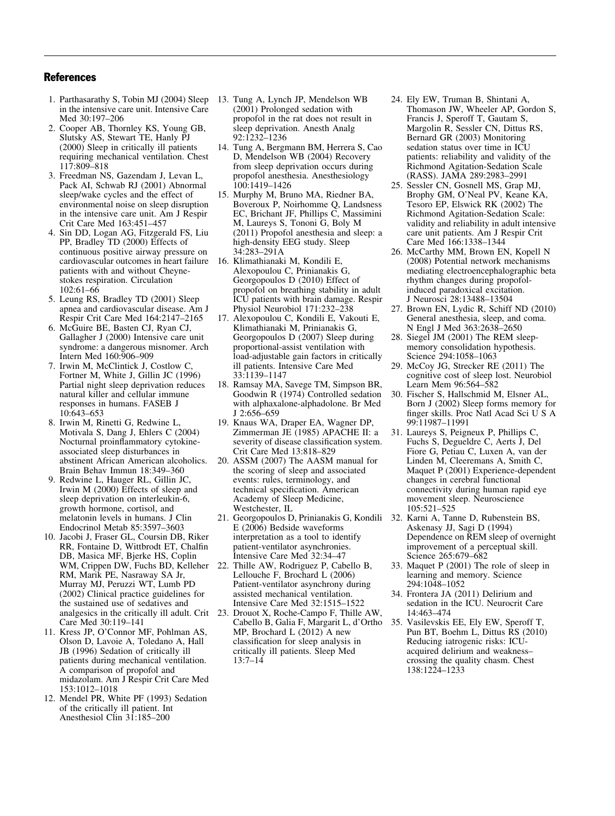## <span id="page-5-0"></span>**References**

- 1. Parthasarathy S, Tobin MJ (2004) Sleep in the intensive care unit. Intensive Care Med 30:197–206
- 2. Cooper AB, Thornley KS, Young GB, Slutsky AS, Stewart TE, Hanly PJ (2000) Sleep in critically ill patients requiring mechanical ventilation. Chest 117:809–818
- 3. Freedman NS, Gazendam J, Levan L, Pack AI, Schwab RJ (2001) Abnormal sleep/wake cycles and the effect of environmental noise on sleep disruption in the intensive care unit. Am J Respir Crit Care Med 163:451–457
- 4. Sin DD, Logan AG, Fitzgerald FS, Liu PP, Bradley TD (2000) Effects of continuous positive airway pressure on cardiovascular outcomes in heart failure patients with and without Cheynestokes respiration. Circulation 102:61–66
- 5. Leung RS, Bradley TD (2001) Sleep apnea and cardiovascular disease. Am J Respir Crit Care Med 164:2147–2165
- 6. McGuire BE, Basten CJ, Ryan CJ, Gallagher J (2000) Intensive care unit syndrome: a dangerous misnomer. Arch Intern Med 160:906–909
- 7. Irwin M, McClintick J, Costlow C, Fortner M, White J, Gillin JC (1996) Partial night sleep deprivation reduces natural killer and cellular immune responses in humans. FASEB J 10:643–653
- 8. Irwin M, Rinetti G, Redwine L, Motivala S, Dang J, Ehlers C (2004) Nocturnal proinflammatory cytokineassociated sleep disturbances in abstinent African American alcoholics. Brain Behav Immun 18:349–360
- 9. Redwine L, Hauger RL, Gillin JC, Irwin M (2000) Effects of sleep and sleep deprivation on interleukin-6, growth hormone, cortisol, and melatonin levels in humans. J Clin Endocrinol Metab 85:3597–3603
- 10. Jacobi J, Fraser GL, Coursin DB, Riker RR, Fontaine D, Wittbrodt ET, Chalfin DB, Masica MF, Bjerke HS, Coplin WM, Crippen DW, Fuchs BD, Kelleher RM, Marik PE, Nasraway SA Jr, Murray MJ, Peruzzi WT, Lumb PD (2002) Clinical practice guidelines for the sustained use of sedatives and analgesics in the critically ill adult. Crit Care Med 30:119–141
- 11. Kress JP, O'Connor MF, Pohlman AS, Olson D, Lavoie A, Toledano A, Hall JB (1996) Sedation of critically ill patients during mechanical ventilation. A comparison of propofol and midazolam. Am J Respir Crit Care Med 153:1012–1018
- 12. Mendel PR, White PF (1993) Sedation of the critically ill patient. Int Anesthesiol Clin 31:185–200
- 13. Tung A, Lynch JP, Mendelson WB (2001) Prolonged sedation with propofol in the rat does not result in sleep deprivation. Anesth Analg 92:1232–1236
- 14. Tung A, Bergmann BM, Herrera S, Cao D, Mendelson WB (2004) Recovery from sleep deprivation occurs during propofol anesthesia. Anesthesiology 100:1419–1426
- 15. Murphy M, Bruno MA, Riedner BA, Boveroux P, Noirhomme Q, Landsness EC, Brichant JF, Phillips C, Massimini M, Laureys S, Tononi G, Boly M (2011) Propofol anesthesia and sleep: a high-density EEG study. Sleep 34:283–291A
- 16. Klimathianaki M, Kondili E, Alexopoulou C, Prinianakis G, Georgopoulos D (2010) Effect of propofol on breathing stability in adult ICU patients with brain damage. Respir Physiol Neurobiol 171:232–238
- 17. Alexopoulou C, Kondili E, Vakouti E, Klimathianaki M, Prinianakis G, Georgopoulos D (2007) Sleep during proportional-assist ventilation with load-adjustable gain factors in critically ill patients. Intensive Care Med 33:1139–1147
- 18. Ramsay MA, Savege TM, Simpson BR, Goodwin R (1974) Controlled sedation with alphaxalone-alphadolone. Br Med J 2:656–659
- 19. Knaus WA, Draper EA, Wagner DP, Zimmerman JE (1985) APACHE II: a severity of disease classification system. Crit Care Med 13:818–829
- 20. ASSM (2007) The AASM manual for the scoring of sleep and associated events: rules, terminology, and technical specification. American Academy of Sleep Medicine, Westchester, IL
- 21. Georgopoulos D, Prinianakis G, Kondili 32. Karni A, Tanne D, Rubenstein BS, E (2006) Bedside waveforms interpretation as a tool to identify patient-ventilator asynchronies. Intensive Care Med 32:34–47
- 22. Thille AW, Rodriguez P, Cabello B, Lellouche F, Brochard L (2006) Patient-ventilator asynchrony during assisted mechanical ventilation. Intensive Care Med 32:1515–1522
- 23. Drouot X, Roche-Campo F, Thille AW, Cabello B, Galia F, Margarit L, d'Ortho MP, Brochard L (2012) A new classification for sleep analysis in critically ill patients. Sleep Med 13:7–14
- 24. Ely EW, Truman B, Shintani A, Thomason JW, Wheeler AP, Gordon S, Francis J, Speroff T, Gautam S, Margolin R, Sessler CN, Dittus RS, Bernard GR (2003) Monitoring sedation status over time in ICU patients: reliability and validity of the Richmond Agitation-Sedation Scale (RASS). JAMA 289:2983–2991
- 25. Sessler CN, Gosnell MS, Grap MJ, Brophy GM, O'Neal PV, Keane KA, Tesoro EP, Elswick RK (2002) The Richmond Agitation-Sedation Scale: validity and reliability in adult intensive care unit patients. Am J Respir Crit Care Med 166:1338–1344
- 26. McCarthy MM, Brown EN, Kopell N (2008) Potential network mechanisms mediating electroencephalographic beta rhythm changes during propofolinduced paradoxical excitation. J Neurosci 28:13488–13504
- 27. Brown EN, Lydic R, Schiff ND (2010) General anesthesia, sleep, and coma. N Engl J Med 363:2638–2650
- 28. Siegel JM (2001) The REM sleepmemory consolidation hypothesis. Science 294:1058–1063
- 29. McCoy JG, Strecker RE (2011) The cognitive cost of sleep lost. Neurobiol Learn Mem 96:564–582
- 30. Fischer S, Hallschmid M, Elsner AL, Born J (2002) Sleep forms memory for finger skills. Proc Natl Acad Sci U S A 99:11987–11991
- 31. Laureys S, Peigneux P, Phillips C, Fuchs S, Degueldre C, Aerts J, Del Fiore G, Petiau C, Luxen A, van der Linden M, Cleeremans A, Smith C, Maquet P (2001) Experience-dependent changes in cerebral functional connectivity during human rapid eye movement sleep. Neuroscience 105:521–525
- Askenasy JJ, Sagi D (1994) Dependence on REM sleep of overnight improvement of a perceptual skill. Science 265:679–682
- 33. Maquet P (2001) The role of sleep in learning and memory. Science 294:1048–1052
- 34. Frontera JA (2011) Delirium and sedation in the ICU. Neurocrit Care 14:463–474
- 35. Vasilevskis EE, Ely EW, Speroff T, Pun BT, Boehm L, Dittus RS (2010) Reducing iatrogenic risks: ICUacquired delirium and weakness– crossing the quality chasm. Chest 138:1224–1233